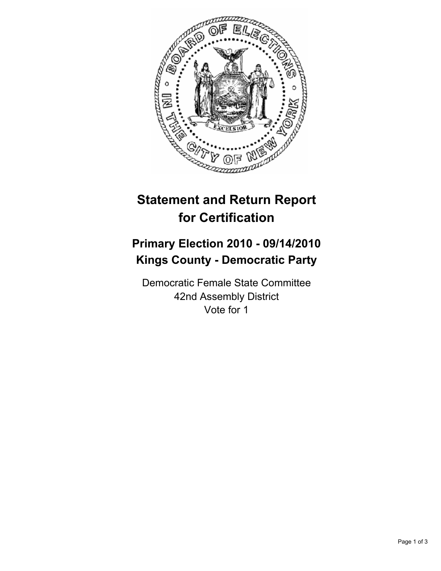

## **Statement and Return Report for Certification**

## **Primary Election 2010 - 09/14/2010 Kings County - Democratic Party**

Democratic Female State Committee 42nd Assembly District Vote for 1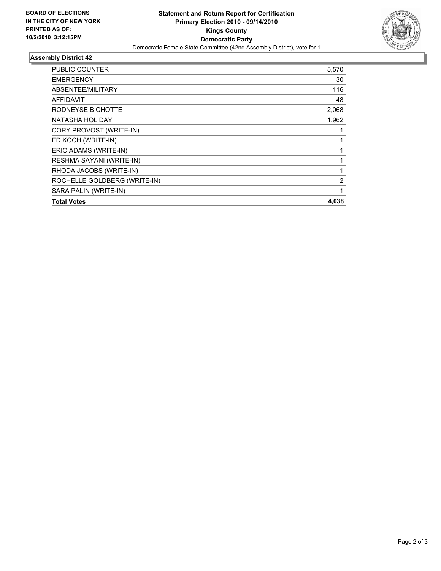

## **Assembly District 42**

| PUBLIC COUNTER               | 5,570 |
|------------------------------|-------|
| <b>EMERGENCY</b>             | 30    |
| ABSENTEE/MILITARY            | 116   |
| AFFIDAVIT                    | 48    |
| RODNEYSE BICHOTTE            | 2,068 |
| NATASHA HOLIDAY              | 1,962 |
| CORY PROVOST (WRITE-IN)      |       |
| ED KOCH (WRITE-IN)           | 1     |
| ERIC ADAMS (WRITE-IN)        |       |
| RESHMA SAYANI (WRITE-IN)     | 1     |
| RHODA JACOBS (WRITE-IN)      | 1     |
| ROCHELLE GOLDBERG (WRITE-IN) | 2     |
| SARA PALIN (WRITE-IN)        | 1     |
| <b>Total Votes</b>           | 4,038 |